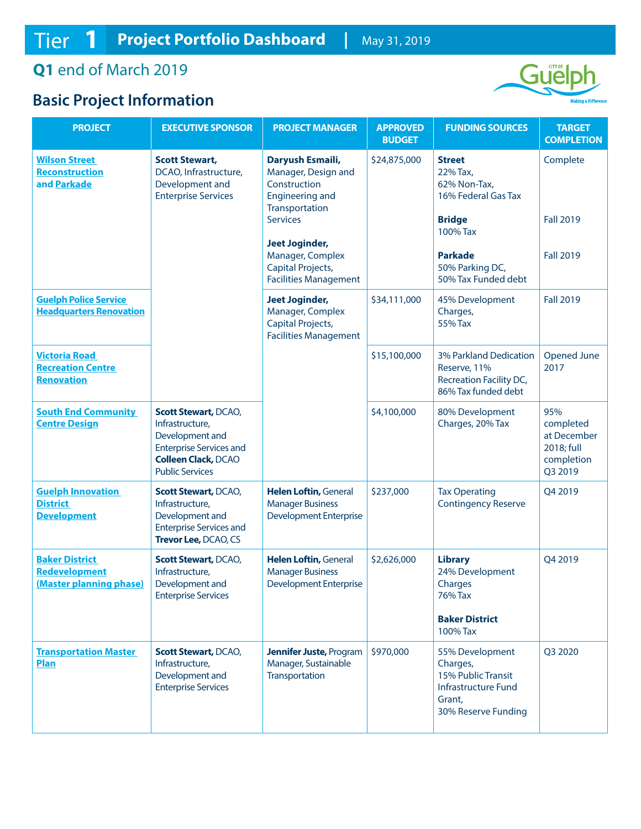## **Q1** end of March 2019

## **Basic Project Information**



| <b>PROJECT</b>                                                        | <b>EXECUTIVE SPONSOR</b>                                                                                                                                    | <b>PROJECT MANAGER</b>                                                                              | <b>APPROVED</b><br><b>BUDGET</b> | <b>FUNDING SOURCES</b>                                                                                    | <b>TARGET</b><br><b>COMPLETION</b>                                     |
|-----------------------------------------------------------------------|-------------------------------------------------------------------------------------------------------------------------------------------------------------|-----------------------------------------------------------------------------------------------------|----------------------------------|-----------------------------------------------------------------------------------------------------------|------------------------------------------------------------------------|
| <b>Wilson Street</b><br>Reconstruction<br>and Parkade                 | <b>Scott Stewart,</b><br>DCAO, Infrastructure,<br>Development and<br><b>Enterprise Services</b>                                                             | Daryush Esmaili,<br>Manager, Design and<br>Construction<br><b>Engineering and</b><br>Transportation | \$24,875,000                     | <b>Street</b><br>22% Tax,<br>62% Non-Tax,<br>16% Federal Gas Tax                                          | Complete                                                               |
|                                                                       |                                                                                                                                                             | <b>Services</b>                                                                                     |                                  | <b>Bridge</b><br>100% Tax                                                                                 | <b>Fall 2019</b>                                                       |
|                                                                       |                                                                                                                                                             | <b>Jeet Joginder,</b><br>Manager, Complex<br>Capital Projects,<br><b>Facilities Management</b>      |                                  | <b>Parkade</b><br>50% Parking DC,<br>50% Tax Funded debt                                                  | <b>Fall 2019</b>                                                       |
| <b>Guelph Police Service</b><br><b>Headquarters Renovation</b>        |                                                                                                                                                             | <b>Jeet Joginder,</b><br>Manager, Complex<br>Capital Projects,<br><b>Facilities Management</b>      | \$34,111,000                     | 45% Development<br>Charges,<br>55% Tax                                                                    | <b>Fall 2019</b>                                                       |
| <b>Victoria Road</b><br><b>Recreation Centre</b><br><b>Renovation</b> |                                                                                                                                                             |                                                                                                     | \$15,100,000                     | 3% Parkland Dedication<br>Reserve, 11%<br>Recreation Facility DC,<br>86% Tax funded debt                  | Opened June<br>2017                                                    |
| <b>South End Community</b><br><b>Centre Design</b>                    | <b>Scott Stewart, DCAO,</b><br>Infrastructure,<br>Development and<br><b>Enterprise Services and</b><br><b>Colleen Clack, DCAO</b><br><b>Public Services</b> |                                                                                                     | \$4,100,000                      | 80% Development<br>Charges, 20% Tax                                                                       | 95%<br>completed<br>at December<br>2018; full<br>completion<br>Q3 2019 |
| <b>Guelph Innovation</b><br><b>District</b><br><b>Development</b>     | <b>Scott Stewart, DCAO,</b><br>Infrastructure,<br>Development and<br><b>Enterprise Services and</b><br>Trevor Lee, DCAO, CS                                 | <b>Helen Loftin, General</b><br><b>Manager Business</b><br><b>Development Enterprise</b>            | \$237,000                        | <b>Tax Operating</b><br><b>Contingency Reserve</b>                                                        | Q4 2019                                                                |
| <b>Baker District</b><br>Redevelopment<br>(Master planning phase)     | <b>Scott Stewart, DCAO,</b><br>Infrastructure,<br>Development and<br><b>Enterprise Services</b>                                                             | <b>Helen Loftin, General</b><br><b>Manager Business</b><br><b>Development Enterprise</b>            | \$2,626,000                      | <b>Library</b><br>24% Development<br>Charges<br><b>76% Tax</b><br><b>Baker District</b><br>100% Tax       | Q4 2019                                                                |
| <b>Transportation Master</b><br>Plan                                  | <b>Scott Stewart, DCAO,</b><br>Infrastructure,<br>Development and<br><b>Enterprise Services</b>                                                             | <b>Jennifer Juste, Program</b><br>Manager, Sustainable<br>Transportation                            | \$970,000                        | 55% Development<br>Charges,<br>15% Public Transit<br>Infrastructure Fund<br>Grant,<br>30% Reserve Funding | Q3 2020                                                                |